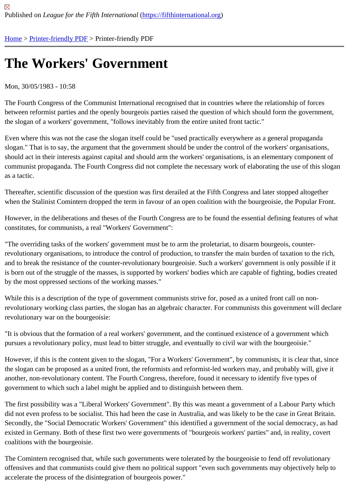## [The](https://fifthinternational.org/) [Workers](https://fifthinternational.org/printpdf)'Government

## Mon, 30/05/1983 - 10:58

The Fourth Congress of the Communist International recognised that in countries where the relationship of forces between reformist parties and the openly bourgeois parties raised the question of which should form the governme the slogan of a workers' government, "follows inevitably from the entire united front tactic."

Even where this was not the case the slogan itself could be "used practically everywhere as a general propaganda slogan." That is to say, the argument that the government should be under the control of the workers' organisation should act in their interests against capital and should arm the workers' organisations, is an elementary componen communist propaganda. The Fourth Congress did not complete the necessary work of elaborating the use of this s as a tactic.

Thereafter, scientific discussion of the question was first derailed at the Fifth Congress and later stopped altogether when the Stalinist Comintern dropped the term in favour of an open coalition with the bourgeoisie, the Popular Fro

However, in the deliberations and theses of the Fourth Congress are to be found the essential defining features of constitutes, for communists, a real "Workers' Government":

"The overriding tasks of the workers' government must be to arm the proletariat, to disarm bourgeois, counterrevolutionary organisations, to introduce the control of production, to transfer the main burden of taxation to the ric and to break the resistance of the counter-revolutionary bourgeoisie. Such a workers' government is only possible is born out of the struggle of the masses, is supported by workers' bodies which are capable of fighting, bodies cre by the most oppressed sections of the working masses."

While this is a description of the type of government communists strive for, posed as a united front call on nonrevolutionary working class parties, the slogan has an algebraic character. For communists this government will de revolutionary war on the bourgeoisie:

"It is obvious that the formation of a real workers' government, and the continued existence of a government which pursues a revolutionary policy, must lead to bitter struggle, and eventually to civil war with the bourgeoisie."

However, if this is the content given to the slogan, "For a Workers' Government", by communists, it is clear that, si the slogan can be proposed as a united front, the reformists and reformist-led workers may, and probably will, give another, non-revolutionary content. The Fourth Congress, therefore, found it necessary to identify five types of government to which such a label might be applied and to distinguish between them.

The first possibility was a "Liberal Workers' Government". By this was meant a government of a Labour Party which did not even profess to be socialist. This had been the case in Australia, and was likely to be the case in Great Brit Secondly, the "Social Democratic Workers' Government" this identified a government of the social democracy, as existed in Germany. Both of these first two were governments of "bourgeois workers' parties" and, in reality, cover coalitions with the bourgeoisie.

The Comintern recognised that, while such governments were tolerated by the bourgeoisie to fend off revolutionary offensives and that communists could give them no political support "even such governments may objectively help accelerate the process of the disintegration of bourgeois power."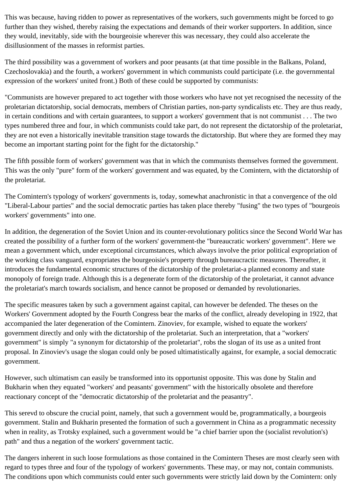This was because, having ridden to power as representatives of the workers, such governments might be forced to go further than they wished, thereby raising the expectations and demands of their worker supporters. In addition, since they would, inevitably, side with the bourgeoisie wherever this was necessary, they could also accelerate the disillusionment of the masses in reformist parties.

The third possibility was a government of workers and poor peasants (at that time possible in the Balkans, Poland, Czechoslovakia) and the fourth, a workers' government in which communists could participate (i.e. the governmental expression of the workers' united front.) Both of these could be supported by communists:

"Communists are however prepared to act together with those workers who have not yet recognised the necessity of the proletarian dictatorship, social democrats, members of Christian parties, non-party syndicalists etc. They are thus ready, in certain conditions and with certain guarantees, to support a workers' government that is not communist . . . The two types numbered three and four, in which communists could take part, do not represent the dictatorship of the proletariat, they are not even a historically inevitable transition stage towards the dictatorship. But where they are formed they may become an important starting point for the fight for the dictatorship."

The fifth possible form of workers' government was that in which the communists themselves formed the government. This was the only "pure" form of the workers' government and was equated, by the Comintern, with the dictatorship of the proletariat.

The Comintern's typology of workers' governments is, today, somewhat anachronistic in that a convergence of the old "Liberal-Labour parties" and the social democratic parties has taken place thereby "fusing" the two types of "bourgeois workers' governments" into one.

In addition, the degeneration of the Soviet Union and its counter-revolutionary politics since the Second World War has created the possibility of a further form of the workers' government-the "bureaucratic workers' government". Here we mean a government which, under exceptional circumstances, which always involve the prior political expropriation of the working class vanguard, expropriates the bourgeoisie's property through bureaucractic measures. Thereafter, it introduces the fundamental economic structures of the dictatorship of the proletariat-a planned economy and state monopoly of foreign trade. Although this is a degenerate form of the dictatorship of the proletariat, it cannot advance the proletariat's march towards socialism, and hence cannot be proposed or demanded by revolutionaries.

The specific measures taken by such a government against capital, can however be defended. The theses on the Workers' Government adopted by the Fourth Congress bear the marks of the conflict, already developing in 1922, that accompanied the later degeneration of the Comintern. Zinoviev, for example, wished to equate the workers' government directly and only with the dictatorship of the proletariat. Such an interpretation, that a "workers' government" is simply "a synonym for dictatorship of the proletariat", robs the slogan of its use as a united front proposal. In Zinoviev's usage the slogan could only be posed ultimatistically against, for example, a social democratic government.

However, such ultimatism can easily be transformed into its opportunist opposite. This was done by Stalin and Bukharin when they equated "workers' and peasants' government" with the historically obsolete and therefore reactionary concept of the "democratic dictatorship of the proletariat and the peasantry".

This serevd to obscure the crucial point, namely, that such a government would be, programmatically, a bourgeois government. Stalin and Bukharin presented the formation of such a government in China as a programmatic necessity when in reality, as Trotsky explained, such a government would be "a chief barrier upon the (socialist revolution's) path" and thus a negation of the workers' government tactic.

The dangers inherent in such loose formulations as those contained in the Comintern Theses are most clearly seen with regard to types three and four of the typology of workers' governments. These may, or may not, contain communists. The conditions upon which communists could enter such governments were strictly laid down by the Comintern: only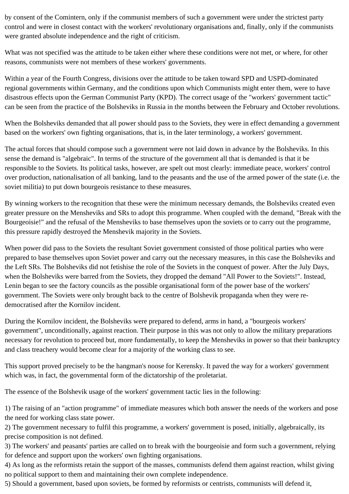by consent of the Comintern, only if the communist members of such a government were under the strictest party control and were in closest contact with the workers' revolutionary organisations and, finally, only if the communists were granted absolute independence and the right of criticism.

What was not specified was the attitude to be taken either where these conditions were not met, or where, for other reasons, communists were not members of these workers' governments.

Within a year of the Fourth Congress, divisions over the attitude to be taken toward SPD and USPD-dominated regional governments within Germany, and the conditions upon which Communists might enter them, were to have disastrous effects upon the German Communist Party (KPD). The correct usage of the "workers' government tactic" can be seen from the practice of the Bolsheviks in Russia in the months between the February and October revolutions.

When the Bolsheviks demanded that all power should pass to the Soviets, they were in effect demanding a government based on the workers' own fighting organisations, that is, in the later terminology, a workers' government.

The actual forces that should compose such a government were not laid down in advance by the Bolsheviks. In this sense the demand is "algebraic". In terms of the structure of the government all that is demanded is that it be responsible to the Soviets. Its political tasks, however, are spelt out most clearly: immediate peace, workers' control over production, nationalisation of all banking, land to the peasants and the use of the armed power of the state (i.e. the soviet militia) to put down bourgeois resistance to these measures.

By winning workers to the recognition that these were the minimum necessary demands, the Bolsheviks created even greater pressure on the Mensheviks and SRs to adopt this programme. When coupled with the demand, "Break with the Bourgeoisie!" and the refusal of the Mensheviks to base themselves upon the soviets or to carry out the programme, this pressure rapidly destroyed the Menshevik majority in the Soviets.

When power did pass to the Soviets the resultant Soviet government consisted of those political parties who were prepared to base themselves upon Soviet power and carry out the necessary measures, in this case the Bolsheviks and the Left SRs. The Bolsheviks did not fetishise the role of the Soviets in the conquest of power. After the July Days, when the Bolsheviks were barred from the Soviets, they dropped the demand "All Power to the Soviets!". Instead, Lenin began to see the factory councils as the possible organisational form of the power base of the workers' government. The Soviets were only brought back to the centre of Bolshevik propaganda when they were redemocratised after the Kornilov incident.

During the Kornilov incident, the Bolsheviks were prepared to defend, arms in hand, a "bourgeois workers' government", unconditionally, against reaction. Their purpose in this was not only to allow the military preparations necessary for revolution to proceed but, more fundamentally, to keep the Mensheviks in power so that their bankruptcy and class treachery would become clear for a majority of the working class to see.

This support proved precisely to be the hangman's noose for Kerensky. It paved the way for a workers' government which was, in fact, the governmental form of the dictatorship of the proletariat.

The essence of the Bolshevik usage of the workers' government tactic lies in the following:

1) The raising of an "action programme" of immediate measures which both answer the needs of the workers and pose the need for working class state power.

2) The government necessary to fulfil this programme, a workers' government is posed, initially, algebraically, its precise composition is not defined.

3) The workers' and peasants' parties are called on to break with the bourgeoisie and form such a government, relying for defence and support upon the workers' own fighting organisations.

4) As long as the reformists retain the support of the masses, communists defend them against reaction, whilst giving no political support to them and maintaining their own complete independence.

5) Should a government, based upon soviets, be formed by reformists or centrists, communists will defend it,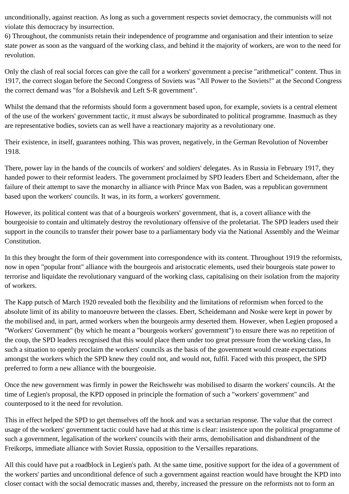unconditionally, against reaction. As long as such a government respects soviet democracy, the communists will not violate this democracy by insurrection.

6) Throughout, the communists retain their independence of programme and organisation and their intention to seize state power as soon as the vanguard of the working class, and behind it the majority of workers, are won to the need for revolution.

Only the clash of real social forces can give the call for a workers' government a precise "arithmetical" content. Thus in 1917, the correct slogan before the Second Congress of Soviets was "All Power to the Soviets!" at the Second Congress the correct demand was "for a Bolshevik and Left S-R government".

Whilst the demand that the reformists should form a government based upon, for example, soviets is a central element of the use of the workers' government tactic, it must always be subordinated to political programme. Inasmuch as they are representative bodies, soviets can as well have a reactionary majority as a revolutionary one.

Their existence, in itself, guarantees nothing. This was proven, negatively, in the German Revolution of November 1918.

There, power lay in the hands of the councils of workers' and soldiers' delegates. As in Russia in February 1917, they handed power to their reformist leaders. The government proclaimed by SPD leaders Ebert and Scheidemann, after the failure of their attempt to save the monarchy in alliance with Prince Max von Baden, was a republican government based upon the workers' councils. It was, in its form, a workers' government.

However, its political content was that of a bourgeois workers' government, that is, a covert alliance with the bourgeoisie to contain and ultimately destroy the revolutionary offensive of the proletariat. The SPD leaders used their support in the councils to transfer their power base to a parliamentary body via the National Assembly and the Weimar Constitution.

In this they brought the form of their government into correspondence with its content. Throughout 1919 the reformists, now in open "popular front" alliance with the bourgeois and aristocratic elements, used their bourgeois state power to terrorise and liquidate the revolutionary vanguard of the working class, capitalising on their isolation from the majority of workers.

The Kapp putsch of March 1920 revealed both the flexibility and the limitations of reformism when forced to the absolute limit of its ability to manoeuvre between the classes. Ebert, Scheidemann and Noske were kept in power by the mobilised and, in part, armed workers when the bourgeois army deserted them. However, when Legien proposed a "Workers' Government" (by which he meant a "bourgeois workers' government") to ensure there was no repetition of the coup, the SPD leaders recognised that this would place them under too great pressure from the working class, In such a situation to openly proclaim the workers' councils as the basis of the government would create expectations amongst the workers which the SPD knew they could not, and would not, fulfil. Faced with this prospect, the SPD preferred to form a new alliance with the bourgeoisie.

Once the new government was firmly in power the Reichswehr was mobilised to disarm the workers' councils. At the time of Legien's proposal, the KPD opposed in principle the formation of such a "workers' government" and counterposed to it the need for revolution.

This in effect helped the SPD to get themselves off the hook and was a sectarian response. The value that the correct usage of the workers' government tactic could have had at this time is clear: insistence upon the political programme of such a government, legalisation of the workers' councils with their arms, demobilisation and disbandment of the Freikorps, immediate alliance with Soviet Russia, opposition to the Versailles reparations.

All this could have put a roadblock in Legien's path. At the same time, positive support for the idea of a government of the workers' parties and unconditional defence of such a government against reaction would have brought the KPD into closer contact with the social democratic masses and, thereby, increased the pressure on the reformists not to form an